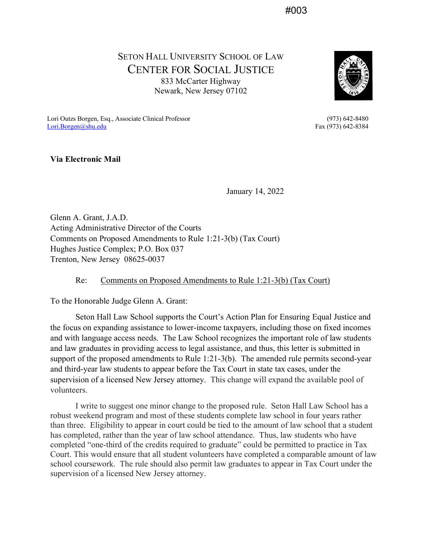#003

SETON HALL UNIVERSITY SCHOOL OF LAW CENTER FOR SOCIAL JUSTICE 833 McCarter Highway Newark, New Jersey 07102



Lori Outzs Borgen, Esq., Associate Clinical Professor (973) 642-8480<br>
<u>Lori Borgen@shu.edu</u> Fax (973) 642-8384  $Lori.Borgen@shu.edu$ 

**Via Electronic Mail**

January 14, 2022

Glenn A. Grant, J.A.D. Acting Administrative Director of the Courts Comments on Proposed Amendments to Rule 1:21-3(b) (Tax Court) Hughes Justice Complex; P.O. Box 037 Trenton, New Jersey 08625-0037

Re: Comments on Proposed Amendments to Rule 1:21-3(b) (Tax Court)

To the Honorable Judge Glenn A. Grant:

Seton Hall Law School supports the Court's Action Plan for Ensuring Equal Justice and the focus on expanding assistance to lower-income taxpayers, including those on fixed incomes and with language access needs. The Law School recognizes the important role of law students and law graduates in providing access to legal assistance, and thus, this letter is submitted in support of the proposed amendments to Rule 1:21-3(b). The amended rule permits second-year and third-year law students to appear before the Tax Court in state tax cases, under the supervision of a licensed New Jersey attorney. This change will expand the available pool of volunteers.

I write to suggest one minor change to the proposed rule. Seton Hall Law School has a robust weekend program and most of these students complete law school in four years rather than three. Eligibility to appear in court could be tied to the amount of law school that a student has completed, rather than the year of law school attendance. Thus, law students who have completed "one-third of the credits required to graduate" could be permitted to practice in Tax Court. This would ensure that all student volunteers have completed a comparable amount of law school coursework. The rule should also permit law graduates to appear in Tax Court under the supervision of a licensed New Jersey attorney.